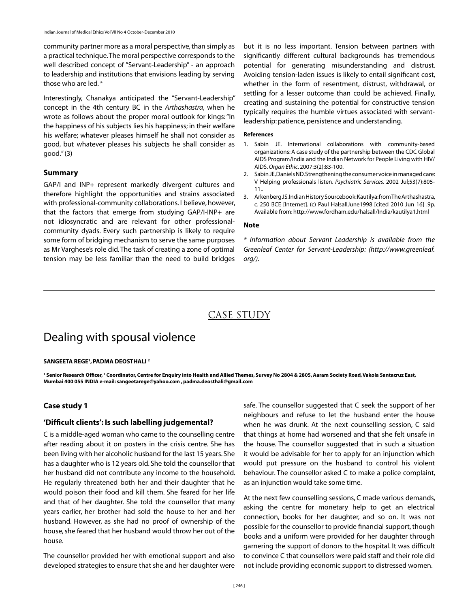community partner more as a moral perspective, than simply as a practical technique. The moral perspective corresponds to the well described concept of "Servant-Leadership" - an approach to leadership and institutions that envisions leading by serving those who are led. \*

Interestingly, Chanakya anticipated the "Servant-Leadership" concept in the 4th century BC in the *Arthashastra*, when he wrote as follows about the proper moral outlook for kings: "In the happiness of his subjects lies his happiness; in their welfare his welfare; whatever pleases himself he shall not consider as good, but whatever pleases his subjects he shall consider as good." (3)

### **Summary**

GAP/I and INP+ represent markedly divergent cultures and therefore highlight the opportunities and strains associated with professional-community collaborations. I believe, however, that the factors that emerge from studying GAP/I-INP+ are not idiosyncratic and are relevant for other professionalcommunity dyads. Every such partnership is likely to require some form of bridging mechanism to serve the same purposes as Mr Varghese's role did. The task of creating a zone of optimal tension may be less familiar than the need to build bridges

but it is no less important. Tension between partners with significantly different cultural backgrounds has tremendous potential for generating misunderstanding and distrust. Avoiding tension-laden issues is likely to entail significant cost, whether in the form of resentment, distrust, withdrawal, or settling for a lesser outcome than could be achieved. Finally, creating and sustaining the potential for constructive tension typically requires the humble virtues associated with servantleadership: patience, persistence and understanding.

#### **References**

- 1. Sabin JE. International collaborations with community-based organizations: A case study of the partnership between the CDC Global AIDS Program/India and the Indian Network for People Living with HIV/ AIDS. *Organ Ethic*. 2007:3(2):83-100.
- 2. Sabin JE, Daniels ND. Strengthening the consumer voice in managed care: V Helping professionals listen. *Psychiatric Services*. 2002 Jul;53(7):805- 11..
- 3. Arkenberg JS. Indian History Sourcebook: Kautilya: from The Arthashastra, c. 250 BCE [Internet]. (c) Paul HalsallJune1998 [cited 2010 Jun 16] .9p. Available from: http://www.fordham.edu/halsall/India/kautilya1.html

#### **Note**

*\* Information about Servant Leadership is available from the Greenleaf Center for Servant-Leadership: (http://www.greenleaf. org/).*

# CASE STUDY

# Dealing with spousal violence

#### **Sangeeta Rege1 ,Padma Deosthali 2**

<sup>1</sup> Senior Research Officer,<sup>2</sup> Coordinator, Centre for Enquiry into Health and Allied Themes, Survey No 2804 & 2805, Aaram Society Road, Vakola Santacruz East, **Mumbai 400 055 INDIA e-mail: sangeetarege@yahoo.com ,padma.deosthali@gmail.com**

# **Case study 1**

### **'Difficult clients': Is such labelling judgemental?**

C is a middle-aged woman who came to the counselling centre after reading about it on posters in the crisis centre. She has been living with her alcoholic husband for the last 15 years. She has a daughter who is 12 years old. She told the counsellor that her husband did not contribute any income to the household. He regularly threatened both her and their daughter that he would poison their food and kill them. She feared for her life and that of her daughter. She told the counsellor that many years earlier, her brother had sold the house to her and her husband. However, as she had no proof of ownership of the house, she feared that her husband would throw her out of the house.

The counsellor provided her with emotional support and also developed strategies to ensure that she and her daughter were

safe. The counsellor suggested that C seek the support of her neighbours and refuse to let the husband enter the house when he was drunk. At the next counselling session, C said that things at home had worsened and that she felt unsafe in the house. The counsellor suggested that in such a situation it would be advisable for her to apply for an injunction which would put pressure on the husband to control his violent behaviour. The counsellor asked C to make a police complaint, as an injunction would take some time.

At the next few counselling sessions, C made various demands, asking the centre for monetary help to get an electrical connection, books for her daughter, and so on. It was not possible for the counsellor to provide financial support, though books and a uniform were provided for her daughter through garnering the support of donors to the hospital. It was difficult to convince C that counsellors were paid staff and their role did not include providing economic support to distressed women.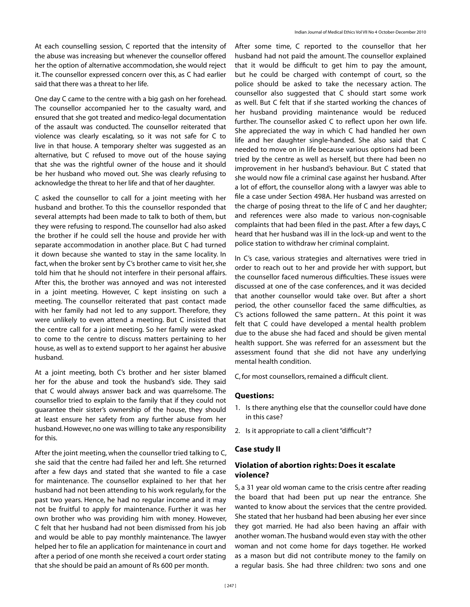At each counselling session, C reported that the intensity of the abuse was increasing but whenever the counsellor offered her the option of alternative accommodation, she would reject it. The counsellor expressed concern over this, as C had earlier said that there was a threat to her life.

One day C came to the centre with a big gash on her forehead. The counsellor accompanied her to the casualty ward, and ensured that she got treated and medico-legal documentation of the assault was conducted. The counsellor reiterated that violence was clearly escalating, so it was not safe for C to live in that house. A temporary shelter was suggested as an alternative, but C refused to move out of the house saying that she was the rightful owner of the house and it should be her husband who moved out. She was clearly refusing to acknowledge the threat to her life and that of her daughter.

C asked the counsellor to call for a joint meeting with her husband and brother. To this the counsellor responded that several attempts had been made to talk to both of them, but they were refusing to respond. The counsellor had also asked the brother if he could sell the house and provide her with separate accommodation in another place. But C had turned it down because she wanted to stay in the same locality. In fact, when the broker sent by C's brother came to visit her, she told him that he should not interfere in their personal affairs. After this, the brother was annoyed and was not interested in a joint meeting. However, C kept insisting on such a meeting. The counsellor reiterated that past contact made with her family had not led to any support. Therefore, they were unlikely to even attend a meeting. But C insisted that the centre call for a joint meeting. So her family were asked to come to the centre to discuss matters pertaining to her house, as well as to extend support to her against her abusive husband.

At a joint meeting, both C's brother and her sister blamed her for the abuse and took the husband's side. They said that C would always answer back and was quarrelsome. The counsellor tried to explain to the family that if they could not guarantee their sister's ownership of the house, they should at least ensure her safety from any further abuse from her husband. However, no one was willing to take any responsibility for this.

After the joint meeting, when the counsellor tried talking to C, she said that the centre had failed her and left. She returned after a few days and stated that she wanted to file a case for maintenance. The counsellor explained to her that her husband had not been attending to his work regularly, for the past two years. Hence, he had no regular income and it may not be fruitful to apply for maintenance. Further it was her own brother who was providing him with money. However, C felt that her husband had not been dismissed from his job and would be able to pay monthly maintenance. The lawyer helped her to file an application for maintenance in court and after a period of one month she received a court order stating that she should be paid an amount of Rs 600 per month.

After some time, C reported to the counsellor that her husband had not paid the amount. The counsellor explained that it would be difficult to get him to pay the amount, but he could be charged with contempt of court, so the police should be asked to take the necessary action. The counsellor also suggested that C should start some work as well. But C felt that if she started working the chances of her husband providing maintenance would be reduced further. The counsellor asked C to reflect upon her own life. She appreciated the way in which C had handled her own life and her daughter single-handed. She also said that C needed to move on in life because various options had been tried by the centre as well as herself, but there had been no improvement in her husband's behaviour. But C stated that she would now file a criminal case against her husband. After a lot of effort, the counsellor along with a lawyer was able to file a case under Section 498A. Her husband was arrested on the charge of posing threat to the life of C and her daughter; and references were also made to various non-cognisable complaints that had been filed in the past. After a few days, C heard that her husband was ill in the lock-up and went to the police station to withdraw her criminal complaint.

In C's case, various strategies and alternatives were tried in order to reach out to her and provide her with support, but the counsellor faced numerous difficulties. These issues were discussed at one of the case conferences, and it was decided that another counsellor would take over. But after a short period, the other counsellor faced the same difficulties, as C's actions followed the same pattern.. At this point it was felt that C could have developed a mental health problem due to the abuse she had faced and should be given mental health support. She was referred for an assessment but the assessment found that she did not have any underlying mental health condition.

C, for most counsellors, remained a difficult client.

#### **Questions:**

- 1. Is there anything else that the counsellor could have done in this case?
- 2. Is it appropriate to call a client "difficult"?

# **Case study II**

# **Violation of abortion rights: Does it escalate violence?**

S, a 31 year old woman came to the crisis centre after reading the board that had been put up near the entrance. She wanted to know about the services that the centre provided. She stated that her husband had been abusing her ever since they got married. He had also been having an affair with another woman. The husband would even stay with the other woman and not come home for days together. He worked as a mason but did not contribute money to the family on a regular basis. She had three children: two sons and one